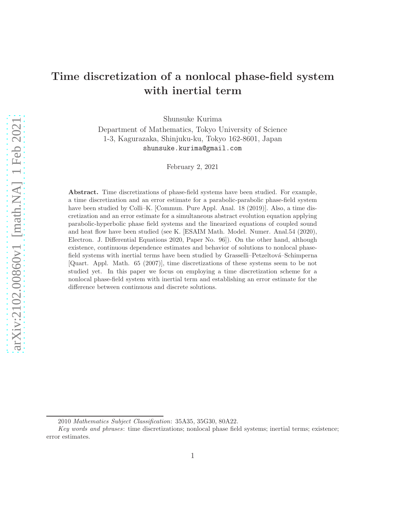# Time discretization of a nonlocal phase-field system with inertial term

Shunsuke Kurima

Department of Mathematics, Tokyo University of Science 1-3, Kagurazaka, Shinjuku-ku, Tokyo 162-8601, Japan shunsuke.kurima@gmail.com

February 2, 2021

Abstract. Time discretizations of phase-field systems have been studied. For example, a time discretization and an error estimate for a parabolic-parabolic phase-field system have been studied by Colli–K. [Commun. Pure Appl. Anal. 18 (2019)]. Also, a time discretization and an error estimate for a simultaneous abstract evolution equation applying parabolic-hyperbolic phase field systems and the linearized equations of coupled sound and heat flow have been studied (see K. [ESAIM Math. Model. Numer. Anal.54 (2020), Electron. J. Differential Equations 2020, Paper No. 96]). On the other hand, although existence, continuous dependence estimates and behavior of solutions to nonlocal phasefield systems with inertial terms have been studied by Grasselli–Petzeltová–Schimperna [Quart. Appl. Math. 65 (2007)], time discretizations of these systems seem to be not studied yet. In this paper we focus on employing a time discretization scheme for a nonlocal phase-field system with inertial term and establishing an error estimate for the difference between continuous and discrete solutions.

<sup>2010</sup> Mathematics Subject Classification: 35A35, 35G30, 80A22.

Key words and phrases: time discretizations; nonlocal phase field systems; inertial terms; existence; error estimates.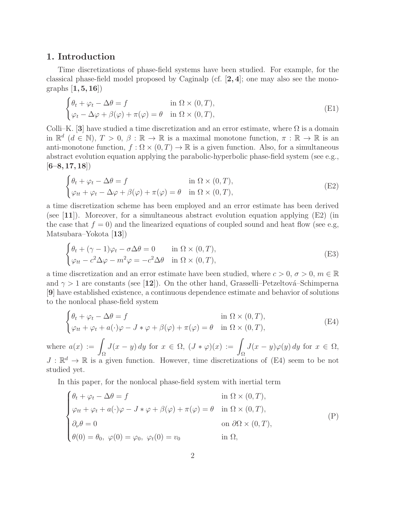#### 1. Introduction

Time discretizations of phase-field systems have been studied. For example, for the classical phase-field model proposed by Caginalp (cf.  $[2, 4]$ ; one may also see the monographs  $[1, 5, 16]$ 

$$
\begin{cases} \theta_t + \varphi_t - \Delta \theta = f & \text{in } \Omega \times (0, T), \\ \varphi_t - \Delta \varphi + \beta(\varphi) + \pi(\varphi) = \theta & \text{in } \Omega \times (0, T), \end{cases}
$$
 (E1)

Colli–K. [3] have studied a time discretization and an error estimate, where  $\Omega$  is a domain in  $\mathbb{R}^d$   $(d \in \mathbb{N}), T > 0, \beta : \mathbb{R} \to \mathbb{R}$  is a maximal monotone function,  $\pi : \mathbb{R} \to \mathbb{R}$  is an anti-monotone function,  $f : \Omega \times (0,T) \to \mathbb{R}$  is a given function. Also, for a simultaneous abstract evolution equation applying the parabolic-hyperbolic phase-field system (see e.g.,  $[6–8, 17, 18]$ 

$$
\begin{cases} \theta_t + \varphi_t - \Delta \theta = f & \text{in } \Omega \times (0, T), \\ \varphi_{tt} + \varphi_t - \Delta \varphi + \beta(\varphi) + \pi(\varphi) = \theta & \text{in } \Omega \times (0, T), \end{cases}
$$
 (E2)

a time discretization scheme has been employed and an error estimate has been derived (see  $[11]$ ). Moreover, for a simultaneous abstract evolution equation applying (E2) (in the case that  $f = 0$ ) and the linearized equations of coupled sound and heat flow (see e.g, Matsubara–Yokota [13])

$$
\begin{cases} \theta_t + (\gamma - 1)\varphi_t - \sigma \Delta \theta = 0 & \text{in } \Omega \times (0, T), \\ \varphi_{tt} - c^2 \Delta \varphi - m^2 \varphi = -c^2 \Delta \theta & \text{in } \Omega \times (0, T), \end{cases}
$$
 (E3)

a time discretization and an error estimate have been studied, where  $c > 0$ ,  $\sigma > 0$ ,  $m \in \mathbb{R}$ and  $\gamma > 1$  are constants (see [12]). On the other hand, Grasselli–Petzeltová–Schimperna [9] have established existence, a continuous dependence estimate and behavior of solutions to the nonlocal phase-field system

$$
\begin{cases} \theta_t + \varphi_t - \Delta \theta = f & \text{in } \Omega \times (0, T), \\ \varphi_{tt} + \varphi_t + a(\cdot)\varphi - J * \varphi + \beta(\varphi) + \pi(\varphi) = \theta & \text{in } \Omega \times (0, T), \end{cases}
$$
 (E4)

where  $a(x) :=$  $\int_{\Omega} J(x-y) dy$  for  $x \in \Omega$ ,  $(J * \varphi)(x) := \int_{\Omega} J(x-y) \varphi(y) dy$  for  $x \in \Omega$ ,  $J : \mathbb{R}^d \to \mathbb{R}$  is a given function. However, time discretizations of (E4) seem to be not studied yet.

In this paper, for the nonlocal phase-field system with inertial term

$$
\begin{cases}\n\theta_t + \varphi_t - \Delta \theta = f & \text{in } \Omega \times (0, T), \\
\varphi_{tt} + \varphi_t + a(\cdot)\varphi - J * \varphi + \beta(\varphi) + \pi(\varphi) = \theta & \text{in } \Omega \times (0, T), \\
\partial_\nu \theta = 0 & \text{on } \partial \Omega \times (0, T), \\
\theta(0) = \theta_0, \varphi(0) = \varphi_0, \varphi_t(0) = v_0 & \text{in } \Omega,\n\end{cases}
$$
\n(P)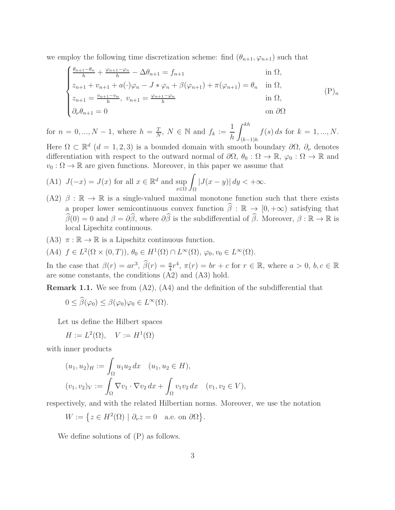we employ the following time discretization scheme: find  $(\theta_{n+1}, \varphi_{n+1})$  such that

$$
\begin{cases}\n\frac{\theta_{n+1}-\theta_n}{h} + \frac{\varphi_{n+1}-\varphi_n}{h} - \Delta\theta_{n+1} = f_{n+1} & \text{in } \Omega, \\
z_{n+1} + v_{n+1} + a(\cdot)\varphi_n - J * \varphi_n + \beta(\varphi_{n+1}) + \pi(\varphi_{n+1}) = \theta_n & \text{in } \Omega, \\
z_{n+1} = \frac{v_{n+1}-v_n}{h}, \ v_{n+1} = \frac{\varphi_{n+1}-\varphi_n}{h} & \text{in } \Omega, \\
\partial_\nu \theta_{n+1} = 0 & \text{on } \partial\Omega\n\end{cases} (P)_n
$$

$$
\partial_{\nu}\theta_{n+1} = 0 \qquad \text{on } \partial\Omega
$$

for  $n = 0, ..., N - 1$ , where  $h = \frac{T}{N}$  $\frac{T}{N}$ ,  $N \in \mathbb{N}$  and  $f_k := \frac{1}{h}$ h  $\int^{kh}$  $(k-1)h$  $f(s) ds$  for  $k = 1, ..., N$ .

Here  $\Omega \subset \mathbb{R}^d$   $(d = 1, 2, 3)$  is a bounded domain with smooth boundary  $\partial \Omega$ ,  $\partial_{\nu}$  denotes differentiation with respect to the outward normal of  $\partial\Omega$ ,  $\theta_0$ :  $\Omega \to \mathbb{R}$ ,  $\varphi_0$ :  $\Omega \to \mathbb{R}$  and  $v_0 : \Omega \to \mathbb{R}$  are given functions. Moreover, in this paper we assume that

(A1) 
$$
J(-x) = J(x)
$$
 for all  $x \in \mathbb{R}^d$  and  $\sup_{x \in \Omega} \int_{\Omega} |J(x - y)| dy < +\infty$ .

- $(A2)$   $\beta : \mathbb{R} \to \mathbb{R}$  is a single-valued maximal monotone function such that there exists a proper lower semicontinuous convex function  $\hat{\beta} : \mathbb{R} \to [0, +\infty)$  satisfying that  $\widehat{\beta}(0) = 0$  and  $\beta = \partial \widehat{\beta}$ , where  $\partial \widehat{\beta}$  is the subdifferential of  $\widehat{\beta}$ . Moreover,  $\beta : \mathbb{R} \to \mathbb{R}$  is local Lipschitz continuous.
- $(A3)$   $\pi : \mathbb{R} \to \mathbb{R}$  is a Lipschitz continuous function.
- (A4)  $f \in L^2(\Omega \times (0,T)), \theta_0 \in H^1(\Omega) \cap L^{\infty}(\Omega), \varphi_0, v_0 \in L^{\infty}(\Omega).$

In the case that  $\beta(r) = ar^3$ ,  $\widehat{\beta}(r) = \frac{a}{4}r^4$ ,  $\pi(r) = br + c$  for  $r \in \mathbb{R}$ , where  $a > 0$ ,  $b, c \in \mathbb{R}$ are some constants, the conditions (A2) and (A3) hold.

Remark 1.1. We see from (A2), (A4) and the definition of the subdifferential that

$$
0 \le \widehat{\beta}(\varphi_0) \le \beta(\varphi_0)\varphi_0 \in L^{\infty}(\Omega).
$$

Let us define the Hilbert spaces

$$
H := L^2(\Omega), \quad V := H^1(\Omega)
$$

with inner products

$$
(u_1, u_2)_H := \int_{\Omega} u_1 u_2 dx \quad (u_1, u_2 \in H),
$$
  

$$
(v_1, v_2)_V := \int_{\Omega} \nabla v_1 \cdot \nabla v_2 dx + \int_{\Omega} v_1 v_2 dx \quad (v_1, v_2 \in V),
$$

respectively, and with the related Hilbertian norms. Moreover, we use the notation

$$
W := \{ z \in H^2(\Omega) \mid \partial_{\nu} z = 0 \quad \text{a.e. on } \partial \Omega \}.
$$

We define solutions of (P) as follows.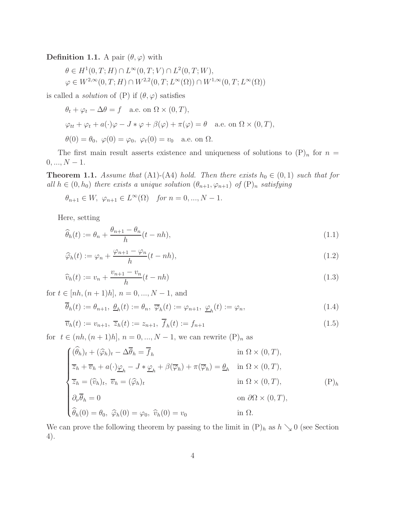#### **Definition 1.1.** A pair  $(\theta, \varphi)$  with

$$
\theta \in H^1(0, T; H) \cap L^{\infty}(0, T; V) \cap L^2(0, T; W),
$$
  

$$
\varphi \in W^{2, \infty}(0, T; H) \cap W^{2,2}(0, T; L^{\infty}(\Omega)) \cap W^{1, \infty}(0, T; L^{\infty}(\Omega))
$$

is called a *solution* of (P) if  $(\theta, \varphi)$  satisfies

$$
\theta_t + \varphi_t - \Delta \theta = f \quad \text{a.e. on } \Omega \times (0, T),
$$
  

$$
\varphi_{tt} + \varphi_t + a(\cdot)\varphi - J * \varphi + \beta(\varphi) + \pi(\varphi) = \theta \quad \text{a.e. on } \Omega \times (0, T),
$$
  

$$
\theta(0) = \theta_0, \ \varphi(0) = \varphi_0, \ \varphi_t(0) = v_0 \quad \text{a.e. on } \Omega.
$$

The first main result asserts existence and uniqueness of solutions to  $(P)<sub>n</sub>$  for  $n =$  $0, ..., N - 1.$ 

**Theorem 1.1.** Assume that (A1)-(A4) hold. Then there exists  $h_0 \in (0,1)$  such that for all  $h \in (0, h_0)$  there exists a unique solution  $(\theta_{n+1}, \varphi_{n+1})$  of  $(P)_n$  satisfying

$$
\theta_{n+1} \in W, \ \varphi_{n+1} \in L^{\infty}(\Omega) \quad \text{for } n = 0, \dots, N - 1.
$$

Here, setting

$$
\widehat{\theta}_h(t) := \theta_n + \frac{\theta_{n+1} - \theta_n}{h}(t - nh),\tag{1.1}
$$

$$
\widehat{\varphi}_h(t) := \varphi_n + \frac{\varphi_{n+1} - \varphi_n}{h}(t - nh),\tag{1.2}
$$

$$
\widehat{v}_h(t) := v_n + \frac{v_{n+1} - v_n}{h}(t - nh)
$$
\n(1.3)

for  $t \in [nh, (n+1)h], n = 0, ..., N-1$ , and

$$
\overline{\theta}_h(t) := \theta_{n+1}, \ \underline{\theta}_h(t) := \theta_n, \ \overline{\varphi}_h(t) := \varphi_{n+1}, \ \underline{\varphi}_h(t) := \varphi_n,\tag{1.4}
$$

$$
\overline{v}_h(t) := v_{n+1}, \ \overline{z}_h(t) := z_{n+1}, \ \overline{f}_h(t) := f_{n+1} \tag{1.5}
$$

for  $t \in (nh, (n+1)h], n = 0, ..., N-1$ , we can rewrite  $(P)_n$  as

$$
\begin{cases}\n(\widehat{\theta}_h)_t + (\widehat{\varphi}_h)_t - \Delta \overline{\theta}_h = \overline{f}_h & \text{in } \Omega \times (0, T), \\
\overline{z}_h + \overline{v}_h + a(\cdot)\underline{\varphi}_h - J * \underline{\varphi}_h + \beta(\overline{\varphi}_h) + \pi(\overline{\varphi}_h) = \underline{\theta}_h & \text{in } \Omega \times (0, T), \\
\overline{z}_h = (\widehat{v}_h)_t, \ \overline{v}_h = (\widehat{\varphi}_h)_t & \text{in } \Omega \times (0, T), \\
\partial_\nu \overline{\theta}_h = 0 & \text{on } \partial\Omega \times (0, T), \\
\widehat{\theta}_h(0) = \theta_0, \ \widehat{\varphi}_h(0) = \varphi_0, \ \widehat{v}_h(0) = v_0 & \text{in } \Omega.\n\end{cases}
$$
\n(P)<sub>h</sub>

We can prove the following theorem by passing to the limit in  $(P)_h$  as  $h \searrow 0$  (see Section 4).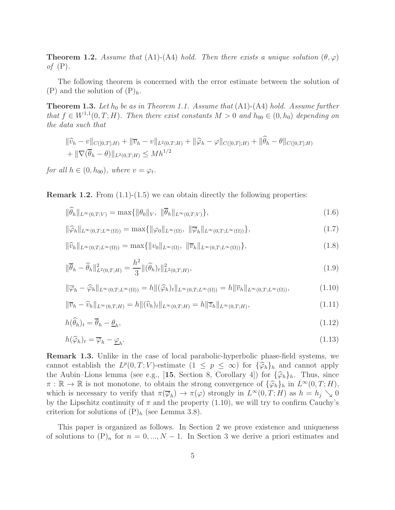**Theorem 1.2.** Assume that (A1)-(A4) hold. Then there exists a unique solution  $(\theta, \varphi)$ of  $(P)$ .

The following theorem is concerned with the error estimate between the solution of (P) and the solution of  $(P)_h$ .

**Theorem 1.3.** Let  $h_0$  be as in Theorem 1.1. Assume that  $(A1)-(A4)$  hold. Assume further that  $f \in W^{1,1}(0,T;H)$ . Then there exist constants  $M > 0$  and  $h_{00} \in (0,h_0)$  depending on the data such that

$$
\|\widehat{v}_h - v\|_{C([0,T];H)} + \|\overline{v}_h - v\|_{L^2(0,T;H)} + \|\widehat{\varphi}_h - \varphi\|_{C([0,T];H)} + \|\theta_h - \theta\|_{C([0,T];H)}
$$
  
+ 
$$
\|\nabla(\overline{\theta}_h - \theta)\|_{L^2(0,T;H)} \leq M h^{1/2}
$$

for all  $h \in (0, h_{00})$ , where  $v = \varphi_t$ .

**Remark 1.2.** From  $(1.1)-(1.5)$  we can obtain directly the following properties:

$$
\|\hat{\theta}_h\|_{L^{\infty}(0,T;V)} = \max\{\|\theta_0\|_V, \ \|\overline{\theta}_h\|_{L^{\infty}(0,T;V)}\},\tag{1.6}
$$

$$
\|\widehat{\varphi}_h\|_{L^{\infty}(0,T;L^{\infty}(\Omega))} = \max\{\|\varphi_0\|_{L^{\infty}(\Omega)}, \ \|\overline{\varphi}_h\|_{L^{\infty}(0,T;L^{\infty}(\Omega))}\},\tag{1.7}
$$

$$
\|\widehat{v}_h\|_{L^{\infty}(0,T;L^{\infty}(\Omega))} = \max\{\|v_0\|_{L^{\infty}(\Omega)}, \|\overline{v}_h\|_{L^{\infty}(0,T;L^{\infty}(\Omega))}\},
$$
\n(1.8)

$$
\|\overline{\theta}_h - \widehat{\theta}_h\|_{L^2(0,T;H)}^2 = \frac{h^2}{3} \|(\widehat{\theta}_h)_t\|_{L^2(0,T;H)}^2,
$$
\n(1.9)

$$
\|\overline{\varphi}_h - \widehat{\varphi}_h\|_{L^{\infty}(0,T;L^{\infty}(\Omega))} = h \|(\widehat{\varphi}_h)_t\|_{L^{\infty}(0,T;L^{\infty}(\Omega))} = h \|\overline{v}_h\|_{L^{\infty}(0,T;L^{\infty}(\Omega))},
$$
\n(1.10)

$$
\|\overline{v}_h - \widehat{v}_h\|_{L^{\infty}(0,T;H)} = h\|(\widehat{v}_h)_t\|_{L^{\infty}(0,T;H)} = h\|\overline{z}_h\|_{L^{\infty}(0,T;H)},
$$
\n(1.11)

$$
h(\hat{\theta}_h)_t = \overline{\theta}_h - \underline{\theta}_h,\tag{1.12}
$$

$$
h(\hat{\varphi}_h)_t = \overline{\varphi}_h - \underline{\varphi}_h. \tag{1.13}
$$

Remark 1.3. Unlike in the case of local parabolic-hyperbolic phase-field systems, we cannot establish the  $L^p(0,T;V)$ -estimate  $(1 \leq p \leq \infty)$  for  $\{\widehat{\varphi}_h\}_h$  and cannot apply the Aubin–Lions lemma (see e.g., [15, Section 8, Corollary 4]) for  $\{\hat{\varphi}_h\}_h$ . Thus, since  $\pi : \mathbb{R} \to \mathbb{R}$  is not monotone, to obtain the strong convergence of  $\{\widehat{\varphi}_h\}_h$  in  $L^{\infty}(0,T;H)$ , which is necessary to verify that  $\pi(\overline{\varphi}_h) \to \pi(\varphi)$  strongly in  $L^{\infty}(0,T;H)$  as  $h = h_j \searrow 0$ by the Lipschitz continuity of  $\pi$  and the property (1.10), we will try to confirm Cauchy's criterion for solutions of  $(P)_h$  (see Lemma 3.8).

This paper is organized as follows. In Section 2 we prove existence and uniqueness of solutions to  $(P)_n$  for  $n = 0, ..., N - 1$ . In Section 3 we derive a priori estimates and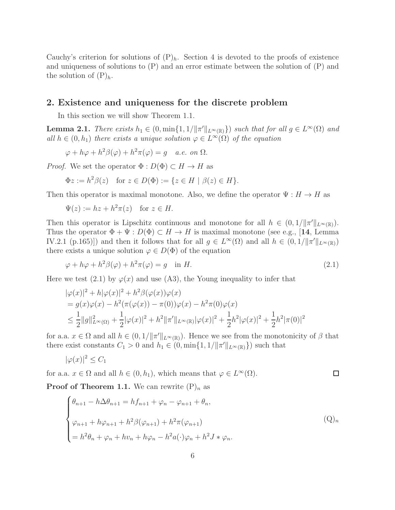Cauchy's criterion for solutions of  $(P)_h$ . Section 4 is devoted to the proofs of existence and uniqueness of solutions to  $(P)$  and an error estimate between the solution of  $(P)$  and the solution of  $(P)_h$ .

#### 2. Existence and uniqueness for the discrete problem

In this section we will show Theorem 1.1.

**Lemma 2.1.** There exists  $h_1 \in (0, \min\{1, 1/||\pi'||_{L^{\infty}(\mathbb{R})}\})$  such that for all  $g \in L^{\infty}(\Omega)$  and all  $h \in (0, h_1)$  there exists a unique solution  $\varphi \in L^{\infty}(\Omega)$  of the equation

$$
\varphi + h\varphi + h^2\beta(\varphi) + h^2\pi(\varphi) = g \quad a.e. \text{ on } \Omega.
$$

*Proof.* We set the operator  $\Phi : D(\Phi) \subset H \to H$  as

$$
\Phi z := h^2 \beta(z) \quad \text{for } z \in D(\Phi) := \{ z \in H \mid \beta(z) \in H \}.
$$

Then this operator is maximal monotone. Also, we define the operator  $\Psi : H \to H$  as

$$
\Psi(z) := hz + h^2 \pi(z) \quad \text{for } z \in H.
$$

Then this operator is Lipschitz continuous and monotone for all  $h \in (0, 1/||\pi'||_{L^{\infty}(\mathbb{R})})$ . Thus the operator  $\Phi + \Psi : D(\Phi) \subset H \to H$  is maximal monotone (see e.g., [14, Lemma IV.2.1 (p.165)]) and then it follows that for all  $g \in L^{\infty}(\Omega)$  and all  $h \in (0, 1/\|\pi'\|_{L^{\infty}(\mathbb{R})})$ there exists a unique solution  $\varphi \in D(\Phi)$  of the equation

$$
\varphi + h\varphi + h^2\beta(\varphi) + h^2\pi(\varphi) = g \quad \text{in } H. \tag{2.1}
$$

Here we test (2.1) by  $\varphi(x)$  and use (A3), the Young inequality to infer that

$$
\begin{aligned} |\varphi(x)|^2 + h|\varphi(x)|^2 + h^2\beta(\varphi(x))\varphi(x) \\ &= g(x)\varphi(x) - h^2(\pi(\varphi(x)) - \pi(0))\varphi(x) - h^2\pi(0)\varphi(x) \\ &\leq \frac{1}{2}||g||_{L^{\infty}(\Omega)}^2 + \frac{1}{2}|\varphi(x)|^2 + h^2||\pi'||_{L^{\infty}(\mathbb{R})}|\varphi(x)|^2 + \frac{1}{2}h^2|\varphi(x)|^2 + \frac{1}{2}h^2|\pi(0)|^2 \end{aligned}
$$

for a.a.  $x \in \Omega$  and all  $h \in (0, 1/\|\pi'\|_{L^\infty(\mathbb{R})})$ . Hence we see from the monotonicity of  $\beta$  that there exist constants  $C_1 > 0$  and  $h_1 \in (0, \min\{1, 1/||\pi'||_{L^{\infty}(\mathbb{R})}\})$  such that

$$
|\varphi(x)|^2 \leq C_1
$$

for a.a.  $x \in \Omega$  and all  $h \in (0, h_1)$ , which means that  $\varphi \in L^{\infty}(\Omega)$ .

**Proof of Theorem 1.1.** We can rewrite  $(P)_n$  as

$$
\begin{cases}\n\theta_{n+1} - h\Delta\theta_{n+1} = h f_{n+1} + \varphi_n - \varphi_{n+1} + \theta_n, \\
\varphi_{n+1} + h\varphi_{n+1} + h^2 \beta(\varphi_{n+1}) + h^2 \pi(\varphi_{n+1}) \\
= h^2 \theta_n + \varphi_n + h v_n + h \varphi_n - h^2 a(\cdot) \varphi_n + h^2 J * \varphi_n.\n\end{cases} \tag{Q}_n
$$

 $\Box$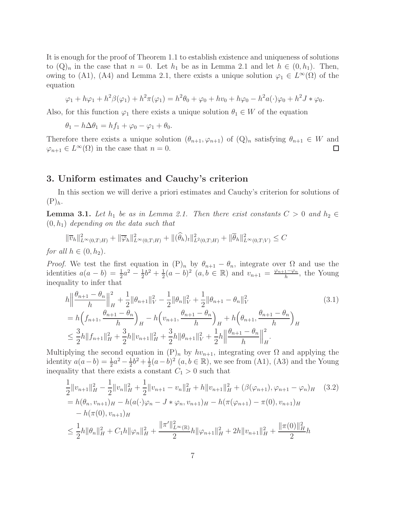It is enough for the proof of Theorem 1.1 to establish existence and uniqueness of solutions to  $(Q)_n$  in the case that  $n = 0$ . Let  $h_1$  be as in Lemma 2.1 and let  $h \in (0, h_1)$ . Then, owing to (A1), (A4) and Lemma 2.1, there exists a unique solution  $\varphi_1 \in L^{\infty}(\Omega)$  of the equation

$$
\varphi_1 + h\varphi_1 + h^2\beta(\varphi_1) + h^2\pi(\varphi_1) = h^2\theta_0 + \varphi_0 + hv_0 + h\varphi_0 - h^2a(\cdot)\varphi_0 + h^2J*\varphi_0.
$$

Also, for this function  $\varphi_1$  there exists a unique solution  $\theta_1 \in W$  of the equation

$$
\theta_1 - h\Delta\theta_1 = hf_1 + \varphi_0 - \varphi_1 + \theta_0.
$$

Therefore there exists a unique solution  $(\theta_{n+1}, \varphi_{n+1})$  of  $(Q)_n$  satisfying  $\theta_{n+1} \in W$  and  $\varphi_{n+1} \in L^{\infty}(\Omega)$  in the case that  $n = 0$ .  $\varphi_{n+1} \in L^{\infty}(\Omega)$  in the case that  $n = 0$ .

#### 3. Uniform estimates and Cauchy's criterion

In this section we will derive a priori estimates and Cauchy's criterion for solutions of  $(P)<sub>h</sub>$ .

**Lemma 3.1.** Let  $h_1$  be as in Lemma 2.1. Then there exist constants  $C > 0$  and  $h_2 \in$  $(0, h_1)$  depending on the data such that

$$
\|\overline{v}_h\|_{L^{\infty}(0,T;H)}^2 + \|\overline{\varphi}_h\|_{L^{\infty}(0,T;H)}^2 + \|(\widehat{\theta}_h)_t\|_{L^2(0,T;H)}^2 + \|\overline{\theta}_h\|_{L^{\infty}(0,T;V)}^2 \leq C
$$

for all  $h \in (0, h_2)$ .

*Proof.* We test the first equation in  $(P)_n$  by  $\theta_{n+1} - \theta_n$ , integrate over  $\Omega$  and use the identities  $a(a - b) = \frac{1}{2}a^2 - \frac{1}{2}$  $rac{1}{2}b^2 + \frac{1}{2}$  $\frac{1}{2}(a - b)^2$   $(a, b \in \mathbb{R})$  and  $v_{n+1} = \frac{\varphi_{n+1} - \varphi_n}{h}$  $\frac{1-\varphi_n}{h}$ , the Young inequality to infer that

$$
h \left\| \frac{\theta_{n+1} - \theta_n}{h} \right\|_H^2 + \frac{1}{2} \|\theta_{n+1}\|_V^2 - \frac{1}{2} \|\theta_n\|_V^2 + \frac{1}{2} \|\theta_{n+1} - \theta_n\|_V^2
$$
\n
$$
= h \left( f_{n+1}, \frac{\theta_{n+1} - \theta_n}{h} \right)_H - h \left( v_{n+1}, \frac{\theta_{n+1} - \theta_n}{h} \right)_H + h \left( \theta_{n+1}, \frac{\theta_{n+1} - \theta_n}{h} \right)_H
$$
\n
$$
\leq \frac{3}{2} h \| f_{n+1} \|_H^2 + \frac{3}{2} h \| v_{n+1} \|_H^2 + \frac{3}{2} h \| \theta_{n+1} \|_V^2 + \frac{1}{2} h \left\| \frac{\theta_{n+1} - \theta_n}{h} \right\|_H^2.
$$
\n
$$
(3.1)
$$

Multiplying the second equation in  $(P)_n$  by  $hv_{n+1}$ , integrating over  $\Omega$  and applying the identity  $a(a - b) = \frac{1}{2}a^2 - \frac{1}{2}$  $rac{1}{2}b^2 + \frac{1}{2}$  $\frac{1}{2}(a-b)^2$   $(a, b \in \mathbb{R})$ , we see from (A1), (A3) and the Young inequality that there exists a constant  $C_1 > 0$  such that

$$
\frac{1}{2}||v_{n+1}||_H^2 - \frac{1}{2}||v_n||_H^2 + \frac{1}{2}||v_{n+1} - v_n||_H^2 + h||v_{n+1}||_H^2 + (\beta(\varphi_{n+1}), \varphi_{n+1} - \varphi_n)_H \quad (3.2)
$$
\n
$$
= h(\theta_n, v_{n+1})_H - h(a(\cdot)\varphi_n - J * \varphi_n, v_{n+1})_H - h(\pi(\varphi_{n+1}) - \pi(0), v_{n+1})_H
$$
\n
$$
- h(\pi(0), v_{n+1})_H
$$
\n
$$
\leq \frac{1}{2}h||\theta_n||_H^2 + C_1h||\varphi_n||_H^2 + \frac{||\pi'||_{L^\infty(\mathbb{R})}2h||\varphi_{n+1}||_H^2 + 2h||v_{n+1}||_H^2 + \frac{||\pi(0)||_H^2}{2}h
$$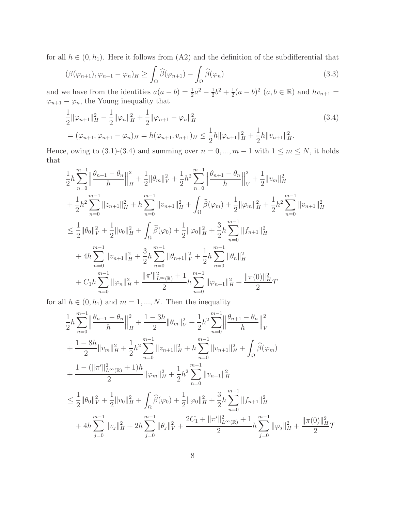for all  $h \in (0, h_1)$ . Here it follows from  $(A2)$  and the definition of the subdifferential that

$$
(\beta(\varphi_{n+1}), \varphi_{n+1} - \varphi_n)_H \ge \int_{\Omega} \widehat{\beta}(\varphi_{n+1}) - \int_{\Omega} \widehat{\beta}(\varphi_n)
$$
\n(3.3)

and we have from the identities  $a(a - b) = \frac{1}{2}a^2 - \frac{1}{2}$  $rac{1}{2}b^2 + \frac{1}{2}$  $\frac{1}{2}(a-b)^2$   $(a,b \in \mathbb{R})$  and  $hv_{n+1} =$  $\varphi_{n+1} - \varphi_n$ , the Young inequality that

$$
\frac{1}{2} ||\varphi_{n+1}||_H^2 - \frac{1}{2} ||\varphi_n||_H^2 + \frac{1}{2} ||\varphi_{n+1} - \varphi_n||_H^2
$$
\n
$$
= (\varphi_{n+1}, \varphi_{n+1} - \varphi_n)_H = h(\varphi_{n+1}, v_{n+1})_H \le \frac{1}{2} h ||\varphi_{n+1}||_H^2 + \frac{1}{2} h ||v_{n+1}||_H^2.
$$
\n(3.4)

Hence, owing to (3.1)-(3.4) and summing over  $n = 0, ..., m - 1$  with  $1 \le m \le N$ , it holds that

$$
\frac{1}{2}h\sum_{n=0}^{m-1} \left\| \frac{\theta_{n+1}-\theta_n}{h} \right\|_H^2 + \frac{1}{2}\|\theta_m\|_V^2 + \frac{1}{2}h^2\sum_{n=0}^{m-1} \left\| \frac{\theta_{n+1}-\theta_n}{h} \right\|_V^2 + \frac{1}{2}\|v_m\|_H^2 + \frac{1}{2}v_m\|_{H}^2 + \frac{1}{2}h^2\sum_{n=0}^{m-1} \|z_{n+1}\|_H^2 + h\sum_{n=0}^{m-1} \|v_{n+1}\|_H^2 + \int_{\Omega} \widehat{\beta}(\varphi_m) + \frac{1}{2}\|\varphi_m\|_H^2 + \frac{1}{2}h^2\sum_{n=0}^{m-1} \|v_{n+1}\|_H^2 + \frac{1}{2}\|\varphi_0\|_V^2 + \frac{1}{2}\|v_0\|_H^2 + \int_{\Omega} \widehat{\beta}(\varphi_0) + \frac{1}{2}\|\varphi_0\|_H^2 + \frac{3}{2}h\sum_{n=0}^{m-1} \|f_{n+1}\|_H^2 + \frac{1}{2}h\sum_{n=0}^{m-1} \|v_{n+1}\|_H^2 + \frac{3}{2}h\sum_{n=0}^{m-1} \|\theta_{n+1}\|_V^2 + \frac{1}{2}h\sum_{n=0}^{m-1} \|\theta_n\|_H^2 + C_1h\sum_{n=0}^{m-1} \|\varphi_n\|_H^2 + \frac{\|\pi'\|_{L^\infty(\mathbb{R})}^2 + 1}{2}h\sum_{n=0}^{m-1} \|\varphi_{n+1}\|_H^2 + \frac{\|\pi(0)\|_H^2}{2}T
$$

for all  $h \in (0, h_1)$  and  $m = 1, ..., N$ . Then the inequality

$$
\frac{1}{2}h\sum_{n=0}^{m-1} \left\| \frac{\theta_{n+1}-\theta_n}{h} \right\|_H^2 + \frac{1-3h}{2} \|\theta_m\|_V^2 + \frac{1}{2}h^2 \sum_{n=0}^{m-1} \left\| \frac{\theta_{n+1}-\theta_n}{h} \right\|_V^2
$$
\n
$$
+ \frac{1-8h}{2} \|v_m\|_H^2 + \frac{1}{2}h^2 \sum_{n=0}^{m-1} \|z_{n+1}\|_H^2 + h \sum_{n=0}^{m-1} \|v_{n+1}\|_H^2 + \int_{\Omega} \widehat{\beta}(\varphi_m)
$$
\n
$$
+ \frac{1-(\|\pi'\|_{L^{\infty}(\mathbb{R})}^2 + 1)h}{2} \|\varphi_m\|_H^2 + \frac{1}{2}h^2 \sum_{n=0}^{m-1} \|v_{n+1}\|_H^2
$$
\n
$$
\leq \frac{1}{2} \|\theta_0\|_V^2 + \frac{1}{2} \|v_0\|_H^2 + \int_{\Omega} \widehat{\beta}(\varphi_0) + \frac{1}{2} \|\varphi_0\|_H^2 + \frac{3}{2}h \sum_{n=0}^{m-1} \|f_{n+1}\|_H^2
$$
\n
$$
+ 4h \sum_{j=0}^{m-1} \|v_j\|_H^2 + 2h \sum_{j=0}^{m-1} \|\theta_j\|_V^2 + \frac{2C_1 + \|\pi'\|_{L^{\infty}(\mathbb{R})}^2 + 1}{2} h \sum_{j=0}^{m-1} \|\varphi_j\|_H^2 + \frac{\|\pi(0)\|_H^2}{2} T
$$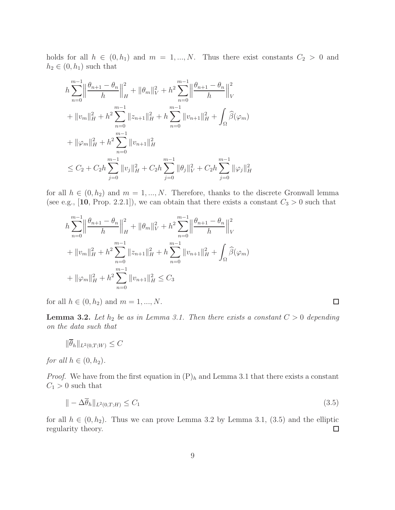holds for all  $h \in (0, h_1)$  and  $m = 1, ..., N$ . Thus there exist constants  $C_2 > 0$  and  $h_2 \in (0, h_1)$  such that

$$
h\sum_{n=0}^{m-1} \left\| \frac{\theta_{n+1} - \theta_n}{h} \right\|_H^2 + \|\theta_m\|_V^2 + h^2 \sum_{n=0}^{m-1} \left\| \frac{\theta_{n+1} - \theta_n}{h} \right\|_V^2
$$
  
+  $||v_m||_H^2 + h^2 \sum_{n=0}^{m-1} ||z_{n+1}||_H^2 + h \sum_{n=0}^{m-1} ||v_{n+1}||_H^2 + \int_{\Omega} \widehat{\beta}(\varphi_m)$   
+  $||\varphi_m||_H^2 + h^2 \sum_{n=0}^{m-1} ||v_{n+1}||_H^2$   
 $\leq C_2 + C_2 h \sum_{j=0}^{m-1} ||v_j||_H^2 + C_2 h \sum_{j=0}^{m-1} ||\theta_j||_V^2 + C_2 h \sum_{j=0}^{m-1} ||\varphi_j||_H^2$ 

for all  $h \in (0, h_2)$  and  $m = 1, ..., N$ . Therefore, thanks to the discrete Gronwall lemma (see e.g., [10, Prop. 2.2.1]), we can obtain that there exists a constant  $C_3 > 0$  such that

$$
h\sum_{n=0}^{m-1} \left\| \frac{\theta_{n+1} - \theta_n}{h} \right\|_H^2 + \|\theta_m\|_V^2 + h^2 \sum_{n=0}^{m-1} \left\| \frac{\theta_{n+1} - \theta_n}{h} \right\|_V^2
$$
  
+  $||v_m||_H^2 + h^2 \sum_{n=0}^{m-1} ||z_{n+1}||_H^2 + h \sum_{n=0}^{m-1} ||v_{n+1}||_H^2 + \int_{\Omega} \widehat{\beta}(\varphi_m)$   
+  $||\varphi_m||_H^2 + h^2 \sum_{n=0}^{m-1} ||v_{n+1}||_H^2 \le C_3$ 

for all  $h \in (0, h_2)$  and  $m = 1, ..., N$ .

**Lemma 3.2.** Let  $h_2$  be as in Lemma 3.1. Then there exists a constant  $C > 0$  depending on the data such that

 $\Box$ 

$$
\|\theta_h\|_{L^2(0,T;W)} \leq C
$$

for all  $h \in (0, h_2)$ .

*Proof.* We have from the first equation in  $(P)_h$  and Lemma 3.1 that there exists a constant  $C_1 > 0$  such that

$$
\| - \Delta \theta_h \|_{L^2(0,T;H)} \le C_1 \tag{3.5}
$$

for all  $h \in (0, h_2)$ . Thus we can prove Lemma 3.2 by Lemma 3.1, (3.5) and the elliptic regularity theory. regularity theory.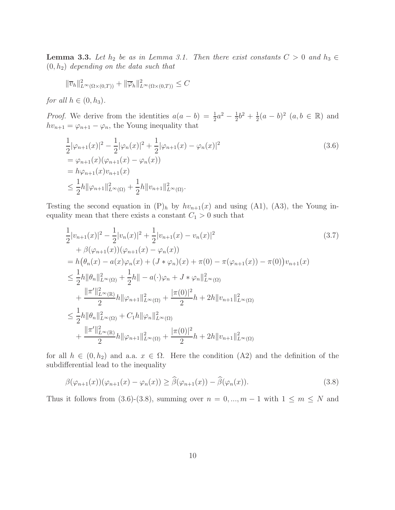**Lemma 3.3.** Let  $h_2$  be as in Lemma 3.1. Then there exist constants  $C > 0$  and  $h_3 \in$  $(0, h_2)$  depending on the data such that

$$
\|\overline{v}_h\|_{L^{\infty}(\Omega\times(0,T))}^2 + \|\overline{\varphi}_h\|_{L^{\infty}(\Omega\times(0,T))}^2 \leq C
$$

for all  $h \in (0, h_3)$ .

*Proof.* We derive from the identities  $a(a - b) = \frac{1}{2}a^2 - \frac{1}{2}$  $rac{1}{2}b^2 + \frac{1}{2}$  $\frac{1}{2}(a - b)^2$   $(a, b \in \mathbb{R})$  and  $hv_{n+1} = \varphi_{n+1} - \varphi_n$ , the Young inequality that

$$
\frac{1}{2}|\varphi_{n+1}(x)|^2 - \frac{1}{2}|\varphi_n(x)|^2 + \frac{1}{2}|\varphi_{n+1}(x) - \varphi_n(x)|^2
$$
\n
$$
= \varphi_{n+1}(x)(\varphi_{n+1}(x) - \varphi_n(x))
$$
\n
$$
= h\varphi_{n+1}(x)v_{n+1}(x)
$$
\n
$$
\leq \frac{1}{2}h\|\varphi_{n+1}\|_{L^{\infty}(\Omega)}^2 + \frac{1}{2}h\|v_{n+1}\|_{L^{\infty}(\Omega)}^2.
$$
\n(3.6)

Testing the second equation in  $(P)_h$  by  $hv_{n+1}(x)$  and using  $(A1)$ ,  $(A3)$ , the Young inequality mean that there exists a constant  $C_1 > 0$  such that

$$
\frac{1}{2}|v_{n+1}(x)|^{2} - \frac{1}{2}|v_{n}(x)|^{2} + \frac{1}{2}|v_{n+1}(x) - v_{n}(x)|^{2} \n+ \beta(\varphi_{n+1}(x))(\varphi_{n+1}(x) - \varphi_{n}(x)) \n= h(\theta_{n}(x) - a(x)\varphi_{n}(x) + (J * \varphi_{n})(x) + \pi(0) - \pi(\varphi_{n+1}(x)) - \pi(0))v_{n+1}(x) \n\leq \frac{1}{2}h \|\theta_{n}\|_{L^{\infty}(\Omega)}^{2} + \frac{1}{2}h \| - a(\cdot)\varphi_{n} + J * \varphi_{n}\|_{L^{\infty}(\Omega)}^{2} \n+ \frac{\|\pi'\|_{L^{\infty}(\mathbb{R})}^{2}}{2}h \|\varphi_{n+1}\|_{L^{\infty}(\Omega)}^{2} + \frac{|\pi(0)|^{2}}{2}h + 2h \|v_{n+1}\|_{L^{\infty}(\Omega)}^{2} \n\leq \frac{1}{2}h \|\theta_{n}\|_{L^{\infty}(\Omega)}^{2} + C_{1}h \|\varphi_{n}\|_{L^{\infty}(\Omega)}^{2} \n+ \frac{\|\pi'\|_{L^{\infty}(\mathbb{R})}^{2}}{2}h \|\varphi_{n+1}\|_{L^{\infty}(\Omega)}^{2} + \frac{\|\pi(0)\|^{2}}{2}h + 2h \|v_{n+1}\|_{L^{\infty}(\Omega)}^{2}
$$

for all  $h \in (0, h_2)$  and a.a.  $x \in \Omega$ . Here the condition (A2) and the definition of the subdifferential lead to the inequality

$$
\beta(\varphi_{n+1}(x))(\varphi_{n+1}(x) - \varphi_n(x)) \ge \widehat{\beta}(\varphi_{n+1}(x)) - \widehat{\beta}(\varphi_n(x)). \tag{3.8}
$$

Thus it follows from (3.6)-(3.8), summing over  $n = 0, ..., m - 1$  with  $1 \leq m \leq N$  and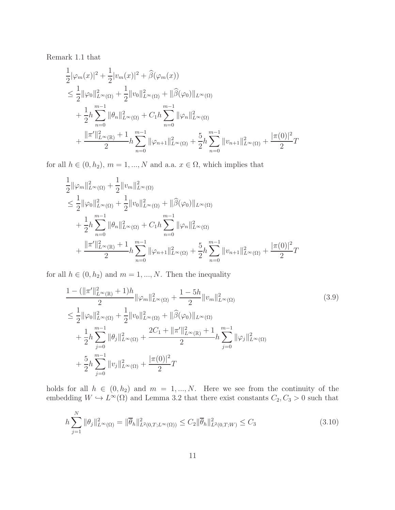Remark 1.1 that

$$
\frac{1}{2}|\varphi_m(x)|^2 + \frac{1}{2}|v_m(x)|^2 + \widehat{\beta}(\varphi_m(x))
$$
\n
$$
\leq \frac{1}{2}||\varphi_0||_{L^{\infty}(\Omega)}^2 + \frac{1}{2}||v_0||_{L^{\infty}(\Omega)}^2 + ||\widehat{\beta}(\varphi_0)||_{L^{\infty}(\Omega)}
$$
\n
$$
+ \frac{1}{2}h \sum_{n=0}^{m-1} ||\theta_n||_{L^{\infty}(\Omega)}^2 + C_1h \sum_{n=0}^{m-1} ||\varphi_n||_{L^{\infty}(\Omega)}^2 + \frac{||\pi'||_{L^{\infty}(\mathbb{R})}^2 + 1}{2}h \sum_{n=0}^{m-1} ||\varphi_{n+1}||_{L^{\infty}(\Omega)}^2 + \frac{5}{2}h \sum_{n=0}^{m-1} ||v_{n+1}||_{L^{\infty}(\Omega)}^2 + \frac{|\pi(0)|^2}{2}T
$$

for all  $h \in (0, h_2)$ ,  $m = 1, ..., N$  and a.a.  $x \in \Omega$ , which implies that

$$
\frac{1}{2} ||\varphi_m||_{L^{\infty}(\Omega)}^2 + \frac{1}{2} ||v_m||_{L^{\infty}(\Omega)}^2
$$
\n
$$
\leq \frac{1}{2} ||\varphi_0||_{L^{\infty}(\Omega)}^2 + \frac{1}{2} ||v_0||_{L^{\infty}(\Omega)}^2 + ||\widehat{\beta}(\varphi_0)||_{L^{\infty}(\Omega)}
$$
\n
$$
+ \frac{1}{2} h \sum_{n=0}^{m-1} ||\theta_n||_{L^{\infty}(\Omega)}^2 + C_1 h \sum_{n=0}^{m-1} ||\varphi_n||_{L^{\infty}(\Omega)}^2
$$
\n
$$
+ \frac{||\pi'||_{L^{\infty}(\mathbb{R})}^2 + 1}{2} h \sum_{n=0}^{m-1} ||\varphi_{n+1}||_{L^{\infty}(\Omega)}^2 + \frac{5}{2} h \sum_{n=0}^{m-1} ||v_{n+1}||_{L^{\infty}(\Omega)}^2 + \frac{|\pi(0)|^2}{2} T
$$

for all  $h \in (0, h_2)$  and  $m = 1, ..., N$ . Then the inequality

$$
\frac{1 - (\|\pi'\|_{L^{\infty}(\mathbb{R})}^{2} + 1)h}{2} \|\varphi_{m}\|_{L^{\infty}(\Omega)}^{2} + \frac{1 - 5h}{2} \|v_{m}\|_{L^{\infty}(\Omega)}^{2}
$$
\n
$$
\leq \frac{1}{2} \|\varphi_{0}\|_{L^{\infty}(\Omega)}^{2} + \frac{1}{2} \|v_{0}\|_{L^{\infty}(\Omega)}^{2} + \|\widehat{\beta}(\varphi_{0})\|_{L^{\infty}(\Omega)} + \frac{1}{2} h \sum_{j=0}^{m-1} \|\theta_{j}\|_{L^{\infty}(\Omega)}^{2} + \frac{2C_{1} + \|\pi'\|_{L^{\infty}(\mathbb{R})}^{2} + 1}{2} h \sum_{j=0}^{m-1} \|\varphi_{j}\|_{L^{\infty}(\Omega)}^{2}
$$
\n
$$
+ \frac{5}{2} h \sum_{j=0}^{m-1} \|v_{j}\|_{L^{\infty}(\Omega)}^{2} + \frac{|\pi(0)|^{2}}{2} T
$$
\n(8.9)

holds for all  $h \in (0, h_2)$  and  $m = 1, ..., N$ . Here we see from the continuity of the embedding  $W \hookrightarrow L^{\infty}(\Omega)$  and Lemma 3.2 that there exist constants  $C_2, C_3 > 0$  such that

$$
h\sum_{j=1}^{N} \|\theta_j\|_{L^{\infty}(\Omega)}^2 = \|\overline{\theta}_h\|_{L^2(0,T;L^{\infty}(\Omega))}^2 \le C_2 \|\overline{\theta}_h\|_{L^2(0,T;W)}^2 \le C_3
$$
\n(3.10)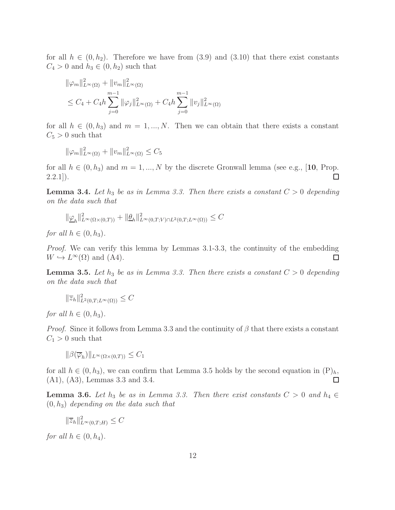for all  $h \in (0, h_2)$ . Therefore we have from  $(3.9)$  and  $(3.10)$  that there exist constants  $C_4 > 0$  and  $h_3 \in (0, h_2)$  such that

$$
\|\varphi_m\|_{L^{\infty}(\Omega)}^2 + \|v_m\|_{L^{\infty}(\Omega)}^2
$$
  
\n
$$
\leq C_4 + C_4 h \sum_{j=0}^{m-1} \|\varphi_j\|_{L^{\infty}(\Omega)}^2 + C_4 h \sum_{j=0}^{m-1} \|v_j\|_{L^{\infty}(\Omega)}^2
$$

for all  $h \in (0, h_3)$  and  $m = 1, ..., N$ . Then we can obtain that there exists a constant  $C_5 > 0$  such that

$$
\|\varphi_m\|_{L^{\infty}(\Omega)}^2 + \|v_m\|_{L^{\infty}(\Omega)}^2 \le C_5
$$

for all  $h \in (0, h_3)$  and  $m = 1, ..., N$  by the discrete Gronwall lemma (see e.g., [10, Prop. 2.2.1]).  $(2.2.1)$ .

**Lemma 3.4.** Let  $h_3$  be as in Lemma 3.3. Then there exists a constant  $C > 0$  depending on the data such that

$$
\|\underline{\varphi}_h\|_{L^{\infty}(\Omega\times(0,T))}^2 + \|\underline{\theta}_h\|_{L^{\infty}(0,T;V)\cap L^2(0,T;L^{\infty}(\Omega))}^2 \leq C
$$

for all  $h \in (0, h_3)$ .

Proof. We can verify this lemma by Lemmas 3.1-3.3, the continuity of the embedding  $W \hookrightarrow L^{\infty}(\Omega)$  and (A4).  $\Box$ 

**Lemma 3.5.** Let  $h_3$  be as in Lemma 3.3. Then there exists a constant  $C > 0$  depending on the data such that

$$
\|\overline{z}_h\|_{L^2(0,T;L^\infty(\Omega))}^2 \leq C
$$

for all  $h \in (0, h_3)$ .

*Proof.* Since it follows from Lemma 3.3 and the continuity of  $\beta$  that there exists a constant  $C_1 > 0$  such that

 $\|\beta(\overline{\varphi}_h)\|_{L^{\infty}(\Omega\times(0,T))}\leq C_1$ 

for all  $h \in (0, h_3)$ , we can confirm that Lemma 3.5 holds by the second equation in  $(P)_h$ , (A1), (A3), Lemmas 3.3 and 3.4. (A1), (A3), Lemmas 3.3 and 3.4.

**Lemma 3.6.** Let  $h_3$  be as in Lemma 3.3. Then there exist constants  $C > 0$  and  $h_4 \in$  $(0, h_3)$  depending on the data such that

$$
\|\overline{z}_h\|_{L^{\infty}(0,T;H)}^2 \leq C
$$

for all  $h \in (0, h_4)$ .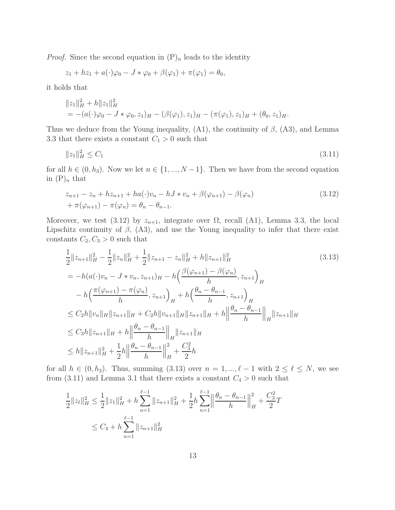*Proof.* Since the second equation in  $(P)_n$  leads to the identity

$$
z_1 + h z_1 + a(\cdot)\varphi_0 - J * \varphi_0 + \beta(\varphi_1) + \pi(\varphi_1) = \theta_0,
$$

it holds that

$$
||z_1||_H^2 + h||z_1||_H^2
$$
  
=  $-(a(\cdot)\varphi_0 - J * \varphi_0, z_1)_H - (\beta(\varphi_1), z_1)_H - (\pi(\varphi_1), z_1)_H + (\theta_0, z_1)_H.$ 

Thus we deduce from the Young inequality,  $(A1)$ , the continuity of  $\beta$ ,  $(A3)$ , and Lemma 3.3 that there exists a constant  ${\cal C}_1>0$  such that

$$
||z_1||_H^2 \le C_1 \tag{3.11}
$$

for all  $h \in (0, h_3)$ . Now we let  $n \in \{1, ..., N-1\}$ . Then we have from the second equation in  $(P)<sub>n</sub>$  that

$$
z_{n+1} - z_n + h z_{n+1} + h a(\cdot) v_n - h J * v_n + \beta(\varphi_{n+1}) - \beta(\varphi_n)
$$
  
+  $\pi(\varphi_{n+1}) - \pi(\varphi_n) = \theta_n - \theta_{n-1}.$  (3.12)

Moreover, we test (3.12) by  $z_{n+1}$ , integrate over  $\Omega$ , recall (A1), Lemma 3.3, the local Lipschitz continuity of  $\beta$ , (A3), and use the Young inequality to infer that there exist constants  $C_2, C_3 > 0$  such that

$$
\frac{1}{2}||z_{n+1}||_H^2 - \frac{1}{2}||z_n||_H^2 + \frac{1}{2}||z_{n+1} - z_n||_H^2 + h||z_{n+1}||_H^2
$$
\n
$$
= -h(a(\cdot)v_n - J * v_n, z_{n+1})_H - h\left(\frac{\beta(\varphi_{n+1}) - \beta(\varphi_n)}{h}, z_{n+1}\right)_H
$$
\n
$$
- h\left(\frac{\pi(\varphi_{n+1}) - \pi(\varphi_n)}{h}, z_{n+1}\right)_H + h\left(\frac{\theta_n - \theta_{n-1}}{h}, z_{n+1}\right)_H
$$
\n
$$
\leq C_2 h ||v_n||_H ||z_{n+1}||_H + C_2 h ||v_{n+1}||_H ||z_{n+1}||_H + h \left\|\frac{\theta_n - \theta_{n-1}}{h}\right\|_H ||z_{n+1}||_H
$$
\n
$$
\leq C_3 h ||z_{n+1}||_H + h \left\|\frac{\theta_n - \theta_{n-1}}{h}\right\|_H ||z_{n+1}||_H
$$
\n
$$
\leq h ||z_{n+1}||_H^2 + \frac{1}{2} h \left\|\frac{\theta_n - \theta_{n-1}}{h}\right\|_H^2 + \frac{C_3^2}{2} h
$$
\n(3.13)

for all  $h \in (0, h_3)$ . Thus, summing  $(3.13)$  over  $n = 1, ..., \ell - 1$  with  $2 \leq \ell \leq N$ , we see from (3.11) and Lemma 3.1 that there exists a constant  $C_4 > 0$  such that

$$
\frac{1}{2}||z_{\ell}||_H^2 \le \frac{1}{2}||z_1||_H^2 + h\sum_{n=1}^{\ell-1} ||z_{n+1}||_H^2 + \frac{1}{2}h\sum_{n=1}^{\ell-1} \left\|\frac{\theta_n - \theta_{n-1}}{h}\right\|_H^2 + \frac{C_3^2}{2}T
$$
  

$$
\le C_4 + h\sum_{n=1}^{\ell-1} ||z_{n+1}||_H^2
$$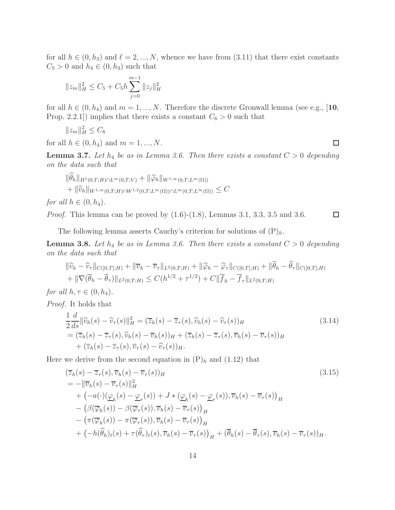for all  $h \in (0, h_3)$  and  $\ell = 2, ..., N$ , whence we have from  $(3.11)$  that there exist constants  $C_5 > 0$  and  $h_4 \in (0, h_3)$  such that

$$
||z_m||_H^2 \le C_5 + C_5 h \sum_{j=0}^{m-1} ||z_j||_H^2
$$

for all  $h \in (0, h_4)$  and  $m = 1, ..., N$ . Therefore the discrete Gronwall lemma (see e.g., [10, Prop. 2.2.1]) implies that there exists a constant  $C_6 > 0$  such that

$$
||z_m||_H^2 \le C_6
$$

for all  $h \in (0, h_4)$  and  $m = 1, ..., N$ .

**Lemma 3.7.** Let  $h_4$  be as in Lemma 3.6. Then there exists a constant  $C > 0$  depending on the data such that

$$
\|\hat{\theta}_h\|_{H^1(0,T;H)\cap L^{\infty}(0,T;V)} + \|\hat{\varphi}_h\|_{W^{1,\infty}(0,T;L^{\infty}(\Omega))}
$$
  
+ 
$$
\|\hat{v}_h\|_{W^{1,\infty}(0,T;H)\cap W^{1,2}(0,T;L^{\infty}(\Omega))\cap L^{\infty}(0,T;L^{\infty}(\Omega))} \leq C
$$

for all  $h \in (0, h_4)$ .

*Proof.* This lemma can be proved by  $(1.6)-(1.8)$ , Lemmas 3.1, 3.3, 3.5 and 3.6.  $\Box$ 

The following lemma asserts Cauchy's criterion for solutions of  $(P)_h$ .

**Lemma 3.8.** Let  $h_4$  be as in Lemma 3.6. Then there exists a constant  $C > 0$  depending on the data such that

$$
\|\widehat{v}_h - \widehat{v}_\tau\|_{C([0,T];H)} + \|\overline{v}_h - \overline{v}_\tau\|_{L^2(0,T;H)} + \|\widehat{\varphi}_h - \widehat{\varphi}_\tau\|_{C([0,T];H)} + \|\widehat{\theta}_h - \widehat{\theta}_\tau\|_{C([0,T];H)}
$$
  
+ 
$$
\|\nabla(\overline{\theta}_h - \overline{\theta}_\tau)\|_{L^2(0,T;H)} \leq C(h^{1/2} + \tau^{1/2}) + C\|\overline{f}_h - \overline{f}_\tau\|_{L^2(0,T;H)}
$$

for all  $h, \tau \in (0, h_4)$ .

Proof. It holds that

$$
\frac{1}{2}\frac{d}{ds}\|\widehat{v}_h(s) - \widehat{v}_\tau(s)\|_H^2 = (\overline{z}_h(s) - \overline{z}_\tau(s), \widehat{v}_h(s) - \widehat{v}_\tau(s))_H \n= (\overline{z}_h(s) - \overline{z}_\tau(s), \widehat{v}_h(s) - \overline{v}_h(s))_H + (\overline{z}_h(s) - \overline{z}_\tau(s), \overline{v}_h(s) - \overline{v}_\tau(s))_H \n+ (\overline{z}_h(s) - \overline{z}_\tau(s), \overline{v}_\tau(s) - \widehat{v}_\tau(s))_H.
$$
\n(3.14)

Here we derive from the second equation in  $(P)<sub>h</sub>$  and  $(1.12)$  that

$$
(\overline{z}_{h}(s) - \overline{z}_{\tau}(s), \overline{v}_{h}(s) - \overline{v}_{\tau}(s))_{H}
$$
\n
$$
= -\|\overline{v}_{h}(s) - \overline{v}_{\tau}(s)\|_{H}^{2}
$$
\n
$$
+ (-a(\cdot)(\underline{\varphi}_{h}(s) - \underline{\varphi}_{\tau}(s)) + J * (\underline{\varphi}_{h}(s) - \underline{\varphi}_{\tau}(s)), \overline{v}_{h}(s) - \overline{v}_{\tau}(s))_{H}
$$
\n
$$
- (\beta(\overline{\varphi}_{h}(s)) - \beta(\overline{\varphi}_{\tau}(s)), \overline{v}_{h}(s) - \overline{v}_{\tau}(s))_{H}
$$
\n
$$
- (\pi(\overline{\varphi}_{h}(s)) - \pi(\overline{\varphi}_{\tau}(s)), \overline{v}_{h}(s) - \overline{v}_{\tau}(s))_{H}
$$
\n
$$
+ (-h(\widehat{\theta}_{h})_{t}(s) + \tau(\widehat{\theta}_{\tau})_{t}(s), \overline{v}_{h}(s) - \overline{v}_{\tau}(s))_{H} + (\overline{\theta}_{h}(s) - \overline{\theta}_{\tau}(s), \overline{v}_{h}(s) - \overline{v}_{\tau}(s))_{H}.
$$
\n
$$
(3.15)
$$
\n
$$
(3.16)
$$

 $\Box$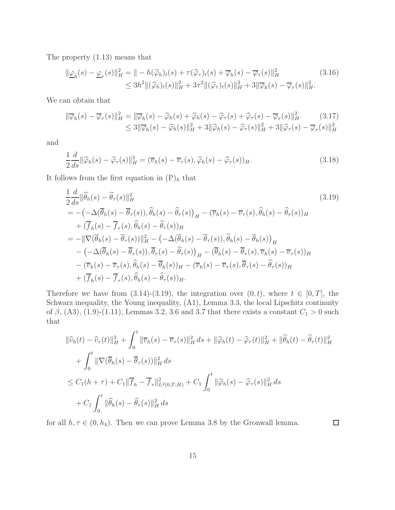The property (1.13) means that

$$
\|\underline{\varphi}_h(s) - \underline{\varphi}_\tau(s)\|_H^2 = \| - h(\widehat{\varphi}_h)_t(s) + \tau(\widehat{\varphi}_\tau)_t(s) + \overline{\varphi}_h(s) - \overline{\varphi}_\tau(s)\|_H^2
$$
(3.16)  

$$
\leq 3h^2 \|(\widehat{\varphi}_h)_t(s)\|_H^2 + 3\tau^2 \|(\widehat{\varphi}_\tau)_t(s)\|_H^2 + 3\|\overline{\varphi}_h(s) - \overline{\varphi}_\tau(s)\|_H^2.
$$

We can obtain that

$$
\|\overline{\varphi}_h(s) - \overline{\varphi}_\tau(s)\|_H^2 = \|\overline{\varphi}_h(s) - \widehat{\varphi}_h(s) + \widehat{\varphi}_h(s) - \widehat{\varphi}_\tau(s) + \widehat{\varphi}_\tau(s) - \overline{\varphi}_\tau(s)\|_H^2 \qquad (3.17)
$$
  

$$
\leq 3\|\overline{\varphi}_h(s) - \widehat{\varphi}_h(s)\|_H^2 + 3\|\widehat{\varphi}_h(s) - \widehat{\varphi}_\tau(s)\|_H^2 + 3\|\widehat{\varphi}_\tau(s) - \overline{\varphi}_\tau(s)\|_H^2
$$

and

$$
\frac{1}{2}\frac{d}{ds}\|\widehat{\varphi}_h(s) - \widehat{\varphi}_\tau(s)\|_H^2 = (\overline{v}_h(s) - \overline{v}_\tau(s), \widehat{\varphi}_h(s) - \widehat{\varphi}_\tau(s))_H. \tag{3.18}
$$

It follows from the first equation in  $(P)_h$  that

$$
\frac{1}{2}\frac{d}{ds}\|\widehat{\theta}_{h}(s)-\widehat{\theta}_{\tau}(s)\|_{H}^{2}
$$
\n
$$
= -\left(-\Delta(\overline{\theta}_{h}(s)-\overline{\theta}_{\tau}(s)),\widehat{\theta}_{h}(s)-\widehat{\theta}_{\tau}(s)\right)_{H} - \left(\overline{v}_{h}(s)-\overline{v}_{\tau}(s),\widehat{\theta}_{h}(s)-\widehat{\theta}_{\tau}(s)\right)_{H}
$$
\n
$$
+ \left(\overline{f}_{h}(s)-\overline{f}_{\tau}(s),\widehat{\theta}_{h}(s)-\widehat{\theta}_{\tau}(s)\right)_{H}
$$
\n
$$
= -\|\nabla(\overline{\theta}_{h}(s)-\overline{\theta}_{\tau}(s))\|_{H}^{2} - \left(-\Delta(\overline{\theta}_{h}(s)-\overline{\theta}_{\tau}(s)),\widehat{\theta}_{h}(s)-\overline{\theta}_{h}(s)\right)_{H}
$$
\n
$$
- \left(-\Delta(\overline{\theta}_{h}(s)-\overline{\theta}_{\tau}(s)),\overline{\theta}_{\tau}(s)-\widehat{\theta}_{\tau}(s)\right)_{H} - \left(\overline{\theta}_{h}(s)-\overline{\theta}_{\tau}(s),\overline{v}_{h}(s)-\overline{v}_{\tau}(s)\right)_{H}
$$
\n
$$
- \left(\overline{v}_{h}(s)-\overline{v}_{\tau}(s),\widehat{\theta}_{h}(s)-\overline{\theta}_{h}(s)\right)_{H} - \left(\overline{v}_{h}(s)-\overline{v}_{\tau}(s),\overline{\theta}_{\tau}(s)-\widehat{\theta}_{\tau}(s)\right)_{H}
$$
\n
$$
+ \left(\overline{f}_{h}(s)-\overline{f}_{\tau}(s),\widehat{\theta}_{h}(s)-\widehat{\theta}_{\tau}(s)\right)_{H}.
$$
\n(3.19)

Therefore we have from (3.14)-(3.19), the integration over  $(0, t)$ , where  $t \in [0, T]$ , the Schwarz inequality, the Young inequality, (A1), Lemma 3.3, the local Lipschitz continuity of  $\beta$ , (A3), (1.9)-(1.11), Lemmas 3.2, 3.6 and 3.7 that there exists a constant  $C_1 > 0$  such that

$$
\|\widehat{v}_h(t) - \widehat{v}_\tau(t)\|_H^2 + \int_0^t \|\overline{v}_h(s) - \overline{v}_\tau(s)\|_H^2 ds + \|\widehat{\varphi}_h(t) - \widehat{\varphi}_\tau(t)\|_H^2 + \|\widehat{\theta}_h(t) - \widehat{\theta}_\tau(t)\|_H^2 + \int_0^t \|\nabla(\overline{\theta}_h(s) - \overline{\theta}_\tau(s))\|_H^2 ds \leq C_1(h + \tau) + C_1 \|\overline{f}_h - \overline{f}_\tau\|_{L^2(0,T;H)}^2 + C_1 \int_0^t \|\widehat{\varphi}_h(s) - \widehat{\varphi}_\tau(s)\|_H^2 ds + C_1 \int_0^t \|\widehat{\theta}_h(s) - \widehat{\theta}_\tau(s)\|_H^2 ds
$$

for all  $h, \tau \in (0, h_4)$ . Then we can prove Lemma 3.8 by the Gronwall lemma.

 $\Box$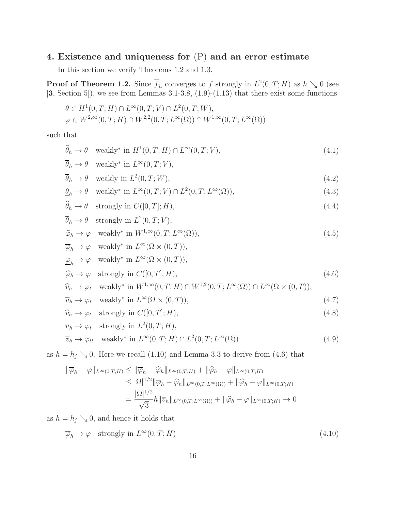## 4. Existence and uniqueness for (P) and an error estimate

In this section we verify Theorems 1.2 and 1.3.

**Proof of Theorem 1.2.** Since  $\overline{f}_h$  converges to f strongly in  $L^2(0,T;H)$  as  $h \searrow 0$  (see  $[3, Section 5]$ , we see from Lemmas 3.1-3.8,  $(1.9)-(1.13)$  that there exist some functions

$$
\theta \in H^{1}(0, T; H) \cap L^{\infty}(0, T; V) \cap L^{2}(0, T; W), \n\varphi \in W^{2, \infty}(0, T; H) \cap W^{2,2}(0, T; L^{\infty}(\Omega)) \cap W^{1, \infty}(0, T; L^{\infty}(\Omega))
$$

such that

$$
\hat{\theta}_h \to \theta \quad \text{weakly* in } H^1(0, T; H) \cap L^{\infty}(0, T; V),
$$
\n
$$
\overline{\theta}_h \to \theta \quad \text{weakly* in } L^{\infty}(0, T; V),
$$
\n
$$
\overline{\theta}_h \to \theta \quad \text{weakly in } L^2(0, T; W),
$$
\n
$$
\theta_h \to \theta \quad \text{weakly* in } L^{\infty}(0, T; W),
$$
\n
$$
\hat{\theta}_h \to \theta \quad \text{strongly in } C([0, T]; H),
$$
\n
$$
\hat{\theta}_h \to \theta \quad \text{strongly in } C([0, T]; H),
$$
\n
$$
\hat{\phi}_h \to \phi \quad \text{strongly in } L^2(0, T; V),
$$
\n
$$
\hat{\varphi}_h \to \varphi \quad \text{weakly* in } W^{1, \infty}(0, T; L^{\infty}(\Omega)),
$$
\n
$$
\overline{\varphi}_h \to \varphi \quad \text{weakly* in } L^{\infty}(\Omega \times (0, T)),
$$
\n
$$
\hat{\varphi}_h \to \varphi \quad \text{weakly* in } L^{\infty}(\Omega \times (0, T)),
$$
\n
$$
\hat{\varphi}_h \to \varphi \quad \text{weakly* in } L^{\infty}(\Omega \times (0, T)),
$$
\n
$$
\hat{\varphi}_h \to \varphi_t \quad \text{weakly* in } W^{1, \infty}(0, T; H) \cap W^{1, 2}(0, T; L^{\infty}(\Omega)) \cap L^{\infty}(\Omega \times (0, T)),
$$
\n
$$
\overline{v}_h \to \varphi_t \quad \text{weakly* in } L^{\infty}(\Omega \times (0, T)),
$$
\n
$$
\hat{\varphi}_h \to \varphi_t \quad \text{weakly* in } L^{\infty}(\Omega \times (0, T)),
$$
\n
$$
\hat{\varphi}_h \to \varphi_t \quad \text{strongly in } C([0, T]; H),
$$
\n
$$
\overline{z}_h \to \varphi_t \quad \text{strongly in } L^2(0, T; H),
$$
\n
$$
\overline{z}_h \to \varphi_t \quad \text{weakly* in } L^{\infty
$$

as  $h = h_j \searrow 0$ . Here we recall (1.10) and Lemma 3.3 to derive from (4.6) that

$$
\|\overline{\varphi}_h - \varphi\|_{L^{\infty}(0,T;H)} \le \|\overline{\varphi}_h - \widehat{\varphi}_h\|_{L^{\infty}(0,T;H)} + \|\widehat{\varphi}_h - \varphi\|_{L^{\infty}(0,T;H)}
$$
  
\n
$$
\le |\Omega|^{1/2} \|\overline{\varphi}_h - \widehat{\varphi}_h\|_{L^{\infty}(0,T;L^{\infty}(\Omega))} + \|\widehat{\varphi}_h - \varphi\|_{L^{\infty}(0,T;H)}
$$
  
\n
$$
= \frac{|\Omega|^{1/2}}{\sqrt{3}} h \|\overline{v}_h\|_{L^{\infty}(0,T;L^{\infty}(\Omega))} + \|\widehat{\varphi}_h - \varphi\|_{L^{\infty}(0,T;H)} \to 0
$$

as  $h = h_j \searrow 0$ , and hence it holds that

$$
\overline{\varphi}_h \to \varphi \quad \text{strongly in } L^{\infty}(0, T; H) \tag{4.10}
$$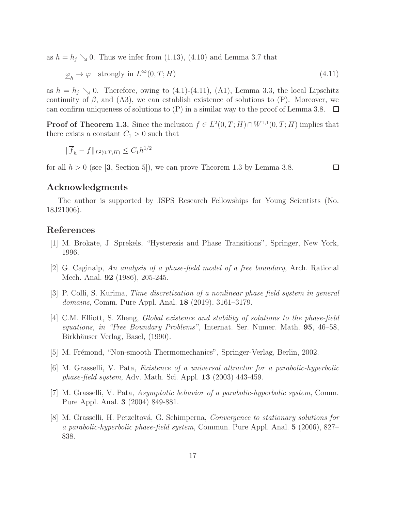as  $h = h_j \searrow 0$ . Thus we infer from (1.13), (4.10) and Lemma 3.7 that

$$
\underline{\varphi}_h \to \varphi \quad \text{strongly in } L^{\infty}(0, T; H) \tag{4.11}
$$

as  $h = h_j \searrow 0$ . Therefore, owing to (4.1)-(4.11), (A1), Lemma 3.3, the local Lipschitz continuity of  $\beta$ , and (A3), we can establish existence of solutions to (P). Moreover, we can confirm uniqueness of solutions to  $(P)$  in a similar way to the proof of Lemma 3.8.  $\Box$ 

**Proof of Theorem 1.3.** Since the inclusion  $f \in L^2(0,T;H) \cap W^{1,1}(0,T;H)$  implies that there exists a constant  $C_1 > 0$  such that

$$
\|\overline{f}_h - f\|_{L^2(0,T;H)} \le C_1 h^{1/2}
$$

for all  $h > 0$  (see [3, Section 5]), we can prove Theorem 1.3 by Lemma 3.8.

 $\Box$ 

### Acknowledgments

The author is supported by JSPS Research Fellowships for Young Scientists (No. 18J21006).

#### References

- [1] M. Brokate, J. Sprekels, "Hysteresis and Phase Transitions", Springer, New York, 1996.
- [2] G. Caginalp, An analysis of a phase-field model of a free boundary, Arch. Rational Mech. Anal. 92 (1986), 205-245.
- [3] P. Colli, S. Kurima, Time discretization of a nonlinear phase field system in general domains, Comm. Pure Appl. Anal. 18 (2019), 3161–3179.
- [4] C.M. Elliott, S. Zheng, Global existence and stability of solutions to the phase-field equations, in "Free Boundary Problems", Internat. Ser. Numer. Math. 95, 46–58, Birkhäuser Verlag, Basel, (1990).
- [5] M. Frémond, "Non-smooth Thermomechanics", Springer-Verlag, Berlin, 2002.
- [6] M. Grasselli, V. Pata, Existence of a universal attractor for a parabolic-hyperbolic phase-field system, Adv. Math. Sci. Appl. 13 (2003) 443-459.
- [7] M. Grasselli, V. Pata, Asymptotic behavior of a parabolic-hyperbolic system, Comm. Pure Appl. Anal. 3 (2004) 849-881.
- [8] M. Grasselli, H. Petzeltová, G. Schimperna, *Convergence to stationary solutions for* a parabolic-hyperbolic phase-field system, Commun. Pure Appl. Anal. 5 (2006), 827– 838.